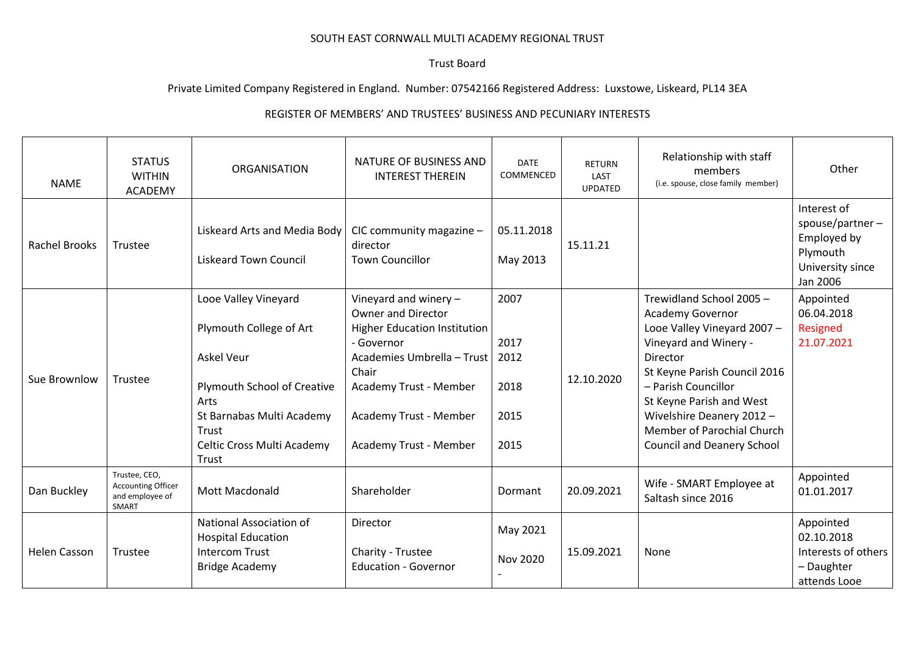## SOUTH EAST CORNWALL MULTI ACADEMY REGIONAL TRUST

## Trust Board

## Private Limited Company Registered in England. Number: 07542166 Registered Address: Luxstowe, Liskeard, PL14 3EA

## REGISTER OF MEMBERS' AND TRUSTEES' BUSINESS AND PECUNIARY INTERESTS

| <b>NAME</b>          | <b>STATUS</b><br><b>WITHIN</b><br><b>ACADEMY</b>                       | <b>ORGANISATION</b>                                                                                                                                                                      | NATURE OF BUSINESS AND<br><b>INTEREST THEREIN</b>                                                                                                                                                                              | <b>DATE</b><br>COMMENCED                     | <b>RETURN</b><br>LAST<br><b>UPDATED</b> | Relationship with staff<br>members<br>(i.e. spouse, close family member)                                                                                                                                                                                                                                   | Other                                                                                        |
|----------------------|------------------------------------------------------------------------|------------------------------------------------------------------------------------------------------------------------------------------------------------------------------------------|--------------------------------------------------------------------------------------------------------------------------------------------------------------------------------------------------------------------------------|----------------------------------------------|-----------------------------------------|------------------------------------------------------------------------------------------------------------------------------------------------------------------------------------------------------------------------------------------------------------------------------------------------------------|----------------------------------------------------------------------------------------------|
| <b>Rachel Brooks</b> | Trustee                                                                | Liskeard Arts and Media Body<br><b>Liskeard Town Council</b>                                                                                                                             | CIC community magazine -<br>director<br><b>Town Councillor</b>                                                                                                                                                                 | 05.11.2018<br>May 2013                       | 15.11.21                                |                                                                                                                                                                                                                                                                                                            | Interest of<br>spouse/partner $-$<br>Employed by<br>Plymouth<br>University since<br>Jan 2006 |
| Sue Brownlow         | Trustee                                                                | Looe Valley Vineyard<br>Plymouth College of Art<br><b>Askel Veur</b><br>Plymouth School of Creative<br>Arts<br>St Barnabas Multi Academy<br>Trust<br>Celtic Cross Multi Academy<br>Trust | Vineyard and winery $-$<br><b>Owner and Director</b><br><b>Higher Education Institution</b><br>- Governor<br>Academies Umbrella - Trust<br>Chair<br>Academy Trust - Member<br>Academy Trust - Member<br>Academy Trust - Member | 2007<br>2017<br>2012<br>2018<br>2015<br>2015 | 12.10.2020                              | Trewidland School 2005 -<br><b>Academy Governor</b><br>Looe Valley Vineyard 2007 -<br>Vineyard and Winery -<br>Director<br>St Keyne Parish Council 2016<br>- Parish Councillor<br>St Keyne Parish and West<br>Wivelshire Deanery 2012 -<br>Member of Parochial Church<br><b>Council and Deanery School</b> | Appointed<br>06.04.2018<br>Resigned<br>21.07.2021                                            |
| Dan Buckley          | Trustee, CEO,<br><b>Accounting Officer</b><br>and employee of<br>SMART | Mott Macdonald                                                                                                                                                                           | Shareholder                                                                                                                                                                                                                    | Dormant                                      | 20.09.2021                              | Wife - SMART Employee at<br>Saltash since 2016                                                                                                                                                                                                                                                             | Appointed<br>01.01.2017                                                                      |
| <b>Helen Casson</b>  | Trustee                                                                | National Association of<br><b>Hospital Education</b><br><b>Intercom Trust</b><br><b>Bridge Academy</b>                                                                                   | Director<br>Charity - Trustee<br><b>Education - Governor</b>                                                                                                                                                                   | May 2021<br>Nov 2020                         | 15.09.2021                              | None                                                                                                                                                                                                                                                                                                       | Appointed<br>02.10.2018<br>Interests of others<br>- Daughter<br>attends Looe                 |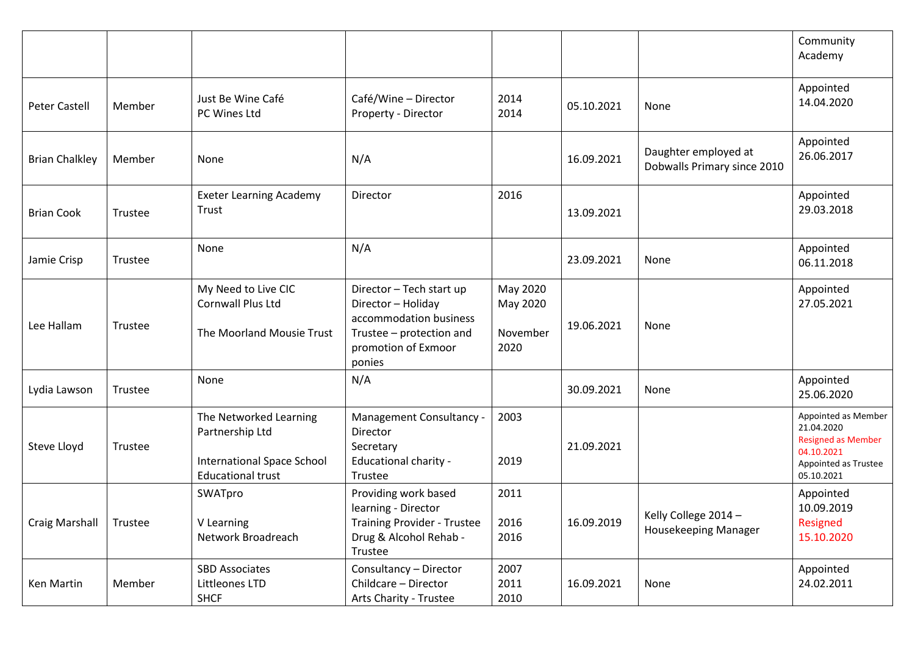|                       |         |                                                                                                     |                                                                                                                                       |                                          |            |                                                     | Community<br>Academy                                                                                               |
|-----------------------|---------|-----------------------------------------------------------------------------------------------------|---------------------------------------------------------------------------------------------------------------------------------------|------------------------------------------|------------|-----------------------------------------------------|--------------------------------------------------------------------------------------------------------------------|
| <b>Peter Castell</b>  | Member  | Just Be Wine Café<br>PC Wines Ltd                                                                   | Café/Wine - Director<br>Property - Director                                                                                           | 2014<br>2014                             | 05.10.2021 | None                                                | Appointed<br>14.04.2020                                                                                            |
| <b>Brian Chalkley</b> | Member  | None                                                                                                | N/A                                                                                                                                   |                                          | 16.09.2021 | Daughter employed at<br>Dobwalls Primary since 2010 | Appointed<br>26.06.2017                                                                                            |
| <b>Brian Cook</b>     | Trustee | <b>Exeter Learning Academy</b><br>Trust                                                             | Director                                                                                                                              | 2016                                     | 13.09.2021 |                                                     | Appointed<br>29.03.2018                                                                                            |
| Jamie Crisp           | Trustee | None                                                                                                | N/A                                                                                                                                   |                                          | 23.09.2021 | None                                                | Appointed<br>06.11.2018                                                                                            |
| Lee Hallam            | Trustee | My Need to Live CIC<br>Cornwall Plus Ltd<br>The Moorland Mousie Trust                               | Director - Tech start up<br>Director - Holiday<br>accommodation business<br>Trustee - protection and<br>promotion of Exmoor<br>ponies | May 2020<br>May 2020<br>November<br>2020 | 19.06.2021 | None                                                | Appointed<br>27.05.2021                                                                                            |
| Lydia Lawson          | Trustee | None                                                                                                | N/A                                                                                                                                   |                                          | 30.09.2021 | None                                                | Appointed<br>25.06.2020                                                                                            |
| Steve Lloyd           | Trustee | The Networked Learning<br>Partnership Ltd<br>International Space School<br><b>Educational trust</b> | Management Consultancy -<br>Director<br>Secretary<br>Educational charity -<br>Trustee                                                 | 2003<br>2019                             | 21.09.2021 |                                                     | Appointed as Member<br>21.04.2020<br><b>Resigned as Member</b><br>04.10.2021<br>Appointed as Trustee<br>05.10.2021 |
| <b>Craig Marshall</b> | Trustee | SWATpro<br>V Learning<br>Network Broadreach                                                         | Providing work based<br>learning - Director<br><b>Training Provider - Trustee</b><br>Drug & Alcohol Rehab -<br>Trustee                | 2011<br>2016<br>2016                     | 16.09.2019 | Kelly College 2014 -<br>Housekeeping Manager        | Appointed<br>10.09.2019<br>Resigned<br>15.10.2020                                                                  |
| Ken Martin            | Member  | <b>SBD Associates</b><br>Littleones LTD<br><b>SHCF</b>                                              | Consultancy - Director<br>Childcare - Director<br>Arts Charity - Trustee                                                              | 2007<br>2011<br>2010                     | 16.09.2021 | None                                                | Appointed<br>24.02.2011                                                                                            |